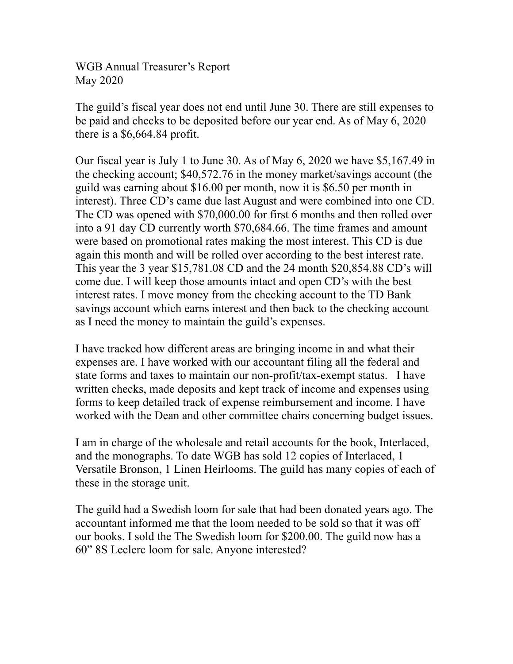WGB Annual Treasurer's Report May 2020

The guild's fiscal year does not end until June 30. There are still expenses to be paid and checks to be deposited before our year end. As of May 6, 2020 there is a \$6,664.84 profit.

Our fiscal year is July 1 to June 30. As of May 6, 2020 we have \$5,167.49 in the checking account; \$40,572.76 in the money market/savings account (the guild was earning about \$16.00 per month, now it is \$6.50 per month in interest). Three CD's came due last August and were combined into one CD. The CD was opened with \$70,000.00 for first 6 months and then rolled over into a 91 day CD currently worth \$70,684.66. The time frames and amount were based on promotional rates making the most interest. This CD is due again this month and will be rolled over according to the best interest rate. This year the 3 year \$15,781.08 CD and the 24 month \$20,854.88 CD's will come due. I will keep those amounts intact and open CD's with the best interest rates. I move money from the checking account to the TD Bank savings account which earns interest and then back to the checking account as I need the money to maintain the guild's expenses.

I have tracked how different areas are bringing income in and what their expenses are. I have worked with our accountant filing all the federal and state forms and taxes to maintain our non-profit/tax-exempt status. I have written checks, made deposits and kept track of income and expenses using forms to keep detailed track of expense reimbursement and income. I have worked with the Dean and other committee chairs concerning budget issues.

I am in charge of the wholesale and retail accounts for the book, Interlaced, and the monographs. To date WGB has sold 12 copies of Interlaced, 1 Versatile Bronson, 1 Linen Heirlooms. The guild has many copies of each of these in the storage unit.

The guild had a Swedish loom for sale that had been donated years ago. The accountant informed me that the loom needed to be sold so that it was off our books. I sold the The Swedish loom for \$200.00. The guild now has a 60" 8S Leclerc loom for sale. Anyone interested?